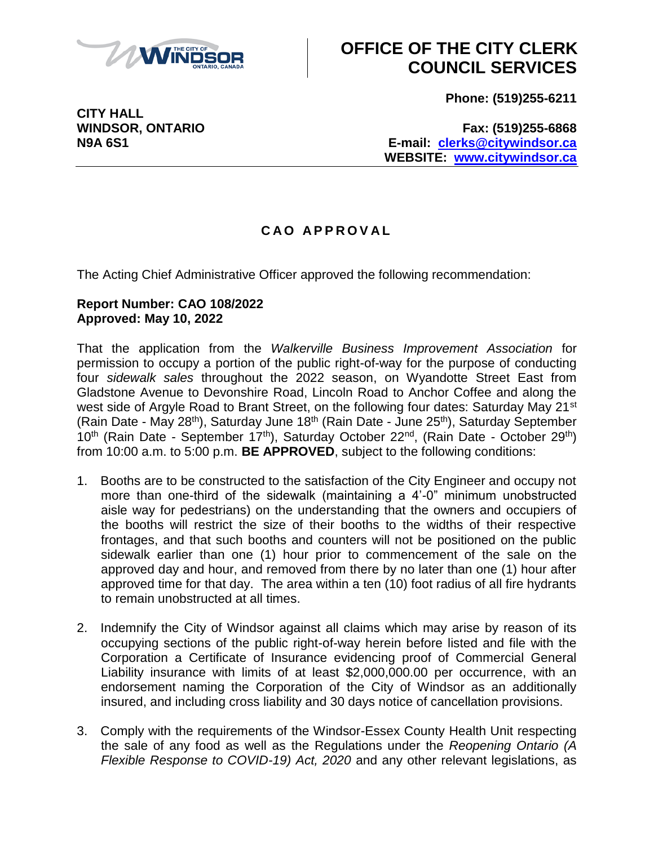

## **OFFICE OF THE CITY CLERK COUNCIL SERVICES**

**Phone: (519)255-6211**

**CITY HALL**

**WINDSOR, ONTARIO Fax: (519)255-6868 N9A 6S1 E-mail: [clerks@citywindsor.ca](mailto:clerks@citywindsor.ca) WEBSITE: [www.citywindsor.ca](http://www.citywindsor.ca/)**

## **C A O A P P R O V A L**

The Acting Chief Administrative Officer approved the following recommendation:

## **Report Number: CAO 108/2022 Approved: May 10, 2022**

That the application from the *Walkerville Business Improvement Association* for permission to occupy a portion of the public right-of-way for the purpose of conducting four *sidewalk sales* throughout the 2022 season, on Wyandotte Street East from Gladstone Avenue to Devonshire Road, Lincoln Road to Anchor Coffee and along the west side of Argyle Road to Brant Street, on the following four dates: Saturday May 21<sup>st</sup> (Rain Date - May 28<sup>th</sup>), Saturday June 18<sup>th</sup> (Rain Date - June 25<sup>th</sup>), Saturday September  $10^{th}$  (Rain Date - September 17<sup>th</sup>), Saturday October 22<sup>nd</sup>, (Rain Date - October 29<sup>th</sup>) from 10:00 a.m. to 5:00 p.m. **BE APPROVED**, subject to the following conditions:

- 1. Booths are to be constructed to the satisfaction of the City Engineer and occupy not more than one-third of the sidewalk (maintaining a 4'-0" minimum unobstructed aisle way for pedestrians) on the understanding that the owners and occupiers of the booths will restrict the size of their booths to the widths of their respective frontages, and that such booths and counters will not be positioned on the public sidewalk earlier than one (1) hour prior to commencement of the sale on the approved day and hour, and removed from there by no later than one (1) hour after approved time for that day. The area within a ten (10) foot radius of all fire hydrants to remain unobstructed at all times.
- 2. Indemnify the City of Windsor against all claims which may arise by reason of its occupying sections of the public right-of-way herein before listed and file with the Corporation a Certificate of Insurance evidencing proof of Commercial General Liability insurance with limits of at least \$2,000,000.00 per occurrence, with an endorsement naming the Corporation of the City of Windsor as an additionally insured, and including cross liability and 30 days notice of cancellation provisions.
- 3. Comply with the requirements of the Windsor-Essex County Health Unit respecting the sale of any food as well as the Regulations under the *Reopening Ontario (A Flexible Response to COVID-19) Act, 2020* and any other relevant legislations, as